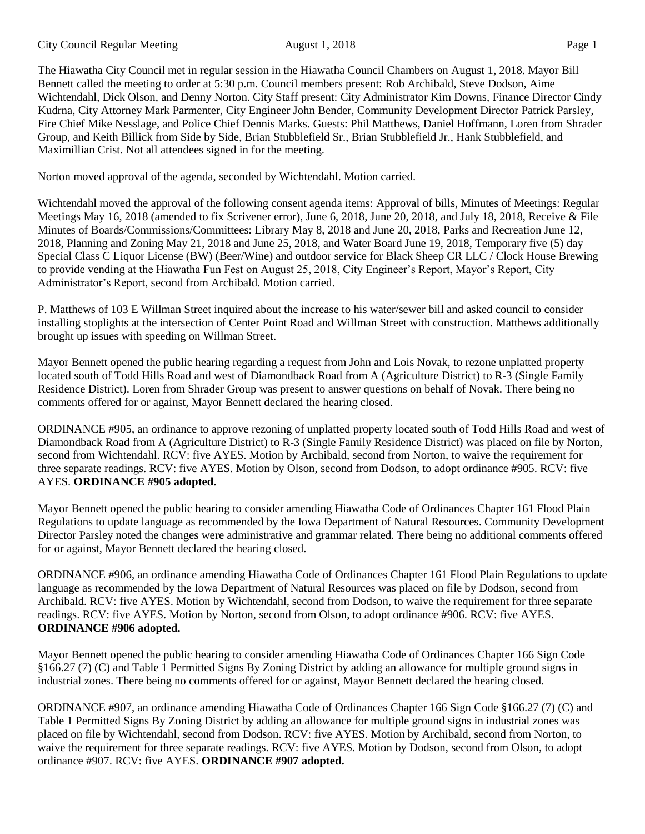City Council Regular Meeting August 1, 2018 Page 1

The Hiawatha City Council met in regular session in the Hiawatha Council Chambers on August 1, 2018. Mayor Bill Bennett called the meeting to order at 5:30 p.m. Council members present: Rob Archibald, Steve Dodson, Aime Wichtendahl, Dick Olson, and Denny Norton. City Staff present: City Administrator Kim Downs, Finance Director Cindy Kudrna, City Attorney Mark Parmenter, City Engineer John Bender, Community Development Director Patrick Parsley, Fire Chief Mike Nesslage, and Police Chief Dennis Marks. Guests: Phil Matthews, Daniel Hoffmann, Loren from Shrader Group, and Keith Billick from Side by Side, Brian Stubblefield Sr., Brian Stubblefield Jr., Hank Stubblefield, and Maximillian Crist. Not all attendees signed in for the meeting.

Norton moved approval of the agenda, seconded by Wichtendahl. Motion carried.

Wichtendahl moved the approval of the following consent agenda items: Approval of bills, Minutes of Meetings: Regular Meetings May 16, 2018 (amended to fix Scrivener error), June 6, 2018, June 20, 2018, and July 18, 2018, Receive & File Minutes of Boards/Commissions/Committees: Library May 8, 2018 and June 20, 2018, Parks and Recreation June 12, 2018, Planning and Zoning May 21, 2018 and June 25, 2018, and Water Board June 19, 2018, Temporary five (5) day Special Class C Liquor License (BW) (Beer/Wine) and outdoor service for Black Sheep CR LLC / Clock House Brewing to provide vending at the Hiawatha Fun Fest on August 25, 2018, City Engineer's Report, Mayor's Report, City Administrator's Report, second from Archibald. Motion carried.

P. Matthews of 103 E Willman Street inquired about the increase to his water/sewer bill and asked council to consider installing stoplights at the intersection of Center Point Road and Willman Street with construction. Matthews additionally brought up issues with speeding on Willman Street.

Mayor Bennett opened the public hearing regarding a request from John and Lois Novak, to rezone unplatted property located south of Todd Hills Road and west of Diamondback Road from A (Agriculture District) to R-3 (Single Family Residence District). Loren from Shrader Group was present to answer questions on behalf of Novak. There being no comments offered for or against, Mayor Bennett declared the hearing closed.

ORDINANCE #905, an ordinance to approve rezoning of unplatted property located south of Todd Hills Road and west of Diamondback Road from A (Agriculture District) to R-3 (Single Family Residence District) was placed on file by Norton, second from Wichtendahl. RCV: five AYES. Motion by Archibald, second from Norton, to waive the requirement for three separate readings. RCV: five AYES. Motion by Olson, second from Dodson, to adopt ordinance #905. RCV: five AYES. **ORDINANCE #905 adopted.**

Mayor Bennett opened the public hearing to consider amending Hiawatha Code of Ordinances Chapter 161 Flood Plain Regulations to update language as recommended by the Iowa Department of Natural Resources. Community Development Director Parsley noted the changes were administrative and grammar related. There being no additional comments offered for or against, Mayor Bennett declared the hearing closed.

ORDINANCE #906, an ordinance amending Hiawatha Code of Ordinances Chapter 161 Flood Plain Regulations to update language as recommended by the Iowa Department of Natural Resources was placed on file by Dodson, second from Archibald. RCV: five AYES. Motion by Wichtendahl, second from Dodson, to waive the requirement for three separate readings. RCV: five AYES. Motion by Norton, second from Olson, to adopt ordinance #906. RCV: five AYES. **ORDINANCE #906 adopted.**

Mayor Bennett opened the public hearing to consider amending Hiawatha Code of Ordinances Chapter 166 Sign Code §166.27 (7) (C) and Table 1 Permitted Signs By Zoning District by adding an allowance for multiple ground signs in industrial zones. There being no comments offered for or against, Mayor Bennett declared the hearing closed.

ORDINANCE #907, an ordinance amending Hiawatha Code of Ordinances Chapter 166 Sign Code §166.27 (7) (C) and Table 1 Permitted Signs By Zoning District by adding an allowance for multiple ground signs in industrial zones was placed on file by Wichtendahl, second from Dodson. RCV: five AYES. Motion by Archibald, second from Norton, to waive the requirement for three separate readings. RCV: five AYES. Motion by Dodson, second from Olson, to adopt ordinance #907. RCV: five AYES. **ORDINANCE #907 adopted.**